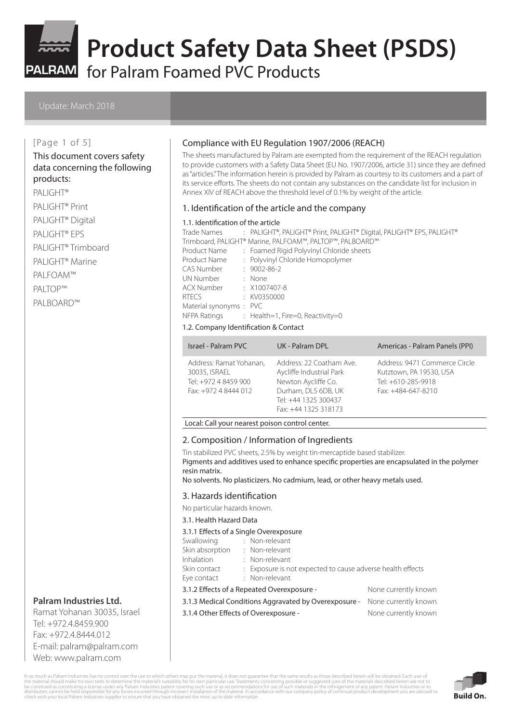

for Palram Foamed PVC Products

#### [Page 1 of 5]

#### This document covers safety data concerning the following products:

## PALIGHT<sup>®</sup>

PALIGHT® Print PALIGHT® Digital PALIGHT® EPS PALIGHT® Trimboard PALIGHT® Marine PALFOAM™ PALTOP™ PALBOARD™

# **Palram Industries Ltd.**

Ramat Yohanan 30035, Israel Tel: +972.4.8459.900 Fax: +972.4.8444.012 E-mail: palram@palram.com Web: www.palram.com

#### Compliance with EU Regulation 1907/2006 (REACH)

The sheets manufactured by Palram are exempted from the requirement of the REACH regulation to provide customers with a Safety Data Sheet (EU No. 1907/2006, article 31) since they are defined as "articles." The information herein is provided by Palram as courtesy to its customers and a part of its service efforts. The sheets do not contain any substances on the candidate list for inclusion in Annex XIV of REACH above the threshold level of 0.1% by weight of the article.

#### 1. Identification of the article and the company

#### 1.1. Identification of the article

|                                                          |  | Trade Names : PALIGHT®, PALIGHT® Print, PALIGHT® Digital, PALIGHT® EPS, PALIGHT® |  |
|----------------------------------------------------------|--|----------------------------------------------------------------------------------|--|
| Trimboard, PALIGHT® Marine, PALFOAM™, PALTOP™, PALBOARD™ |  |                                                                                  |  |
| Product Name                                             |  | : Foamed Rigid Polyvinyl Chloride sheets                                         |  |
| Product Name                                             |  | : Polyvinyl Chloride Homopolymer                                                 |  |
| CAS Number                                               |  | $: 9002 - 86 - 2$                                                                |  |
| UN Number                                                |  | : None                                                                           |  |
| ACX Number : X1007407-8                                  |  |                                                                                  |  |
| <b>RTECS</b>                                             |  | : KV0350000                                                                      |  |
| Material synonyms: PVC                                   |  |                                                                                  |  |
|                                                          |  | NFPA Ratings : Health=1, Fire=0, Reactivity=0                                    |  |

#### 1.2. Company Identification & Contact

| Israel - Palram PVC                                                                      | UK - Palram DPL                                                                                                                                    | Americas - Palram Panels (PPI)                                                                       |
|------------------------------------------------------------------------------------------|----------------------------------------------------------------------------------------------------------------------------------------------------|------------------------------------------------------------------------------------------------------|
| Address: Ramat Yohanan,<br>30035, ISRAEL<br>Tel: +972 4 8459 900<br>Fax: +972 4 8444 012 | Address: 22 Coatham Ave.<br>Aycliffe Industrial Park<br>Newton Aycliffe Co.<br>Durham, DL5 6DB, UK<br>Tel: +44 1325 300437<br>Fax: +44 1325 318173 | Address: 9471 Commerce Circle<br>Kutztown, PA 19530, USA<br>Tel: +610-285-9918<br>Fax: +484-647-8210 |

#### Local: Call your nearest poison control center.

#### 2. Composition / Information of Ingredients

Tin stabilized PVC sheets, 2.5% by weight tin-mercaptide based stabilizer. Pigments and additives used to enhance specific properties are encapsulated in the polymer resin matrix.

No solvents. No plasticizers. No cadmium, lead, or other heavy metals used.

#### 3. Hazards identification

No particular hazards known.

#### 3.1. Health Hazard Data

#### 3.1.1 Effects of a Single Overexposure

| Swallowing                                                         |  | : Non-relevant                                             |  |
|--------------------------------------------------------------------|--|------------------------------------------------------------|--|
| Skin absorption                                                    |  | : Non-relevant                                             |  |
| <b>Inhalation</b>                                                  |  | : Non-relevant                                             |  |
| Skin contact                                                       |  | : Exposure is not expected to cause adverse health effects |  |
| Eye contact                                                        |  | : Non-relevant                                             |  |
| None currently known<br>3.1.2 Effects of a Repeated Overexposure - |  |                                                            |  |

3.1.3 Medical Conditions Aggravated by Overexposure - None currently known

3.1.4 Other Effects of Overexposure - None currently known

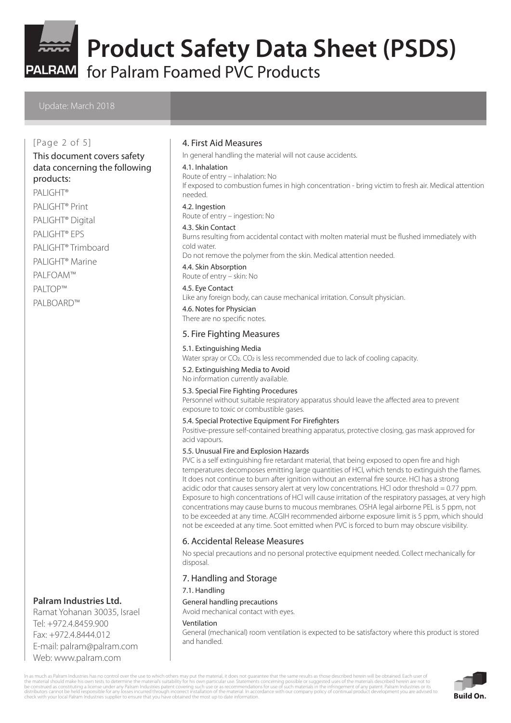

for Palram Foamed PVC Products

### [Page 2 of 5]

# This document covers safety data concerning the following

# products:

PALIGHT<sup>®</sup> PALIGHT® Print PALIGHT® Digital PALIGHT® EPS PALIGHT® Trimboard PALIGHT® Marine PALFOAM™ PALTOP™ PALBOARD™

### **Palram Industries Ltd.**

Ramat Yohanan 30035, Israel Tel: +972.4.8459.900 Fax: +972.4.8444.012 E-mail: palram@palram.com Web: www.palram.com

#### 4. First Aid Measures

In general handling the material will not cause accidents.

#### 4.1. Inhalation

Route of entry – inhalation: No

If exposed to combustion fumes in high concentration - bring victim to fresh air. Medical attention needed.

4.2. Ingestion

Route of entry – ingestion: No

#### 4.3. Skin Contact

Burns resulting from accidental contact with molten material must be flushed immediately with cold water.

Do not remove the polymer from the skin. Medical attention needed.

4.4. Skin Absorption Route of entry – skin: No

#### 4.5. Eye Contact

Like any foreign body, can cause mechanical irritation. Consult physician.

#### 4.6. Notes for Physician

There are no specific notes.

#### 5. Fire Fighting Measures

#### 5.1. Extinguishing Media

Water spray or CO<sub>2</sub>. CO<sub>2</sub> is less recommended due to lack of cooling capacity.

5.2. Extinguishing Media to Avoid

No information currently available.

#### 5.3. Special Fire Fighting Procedures

Personnel without suitable respiratory apparatus should leave the affected area to prevent exposure to toxic or combustible gases.

#### 5.4. Special Protective Equipment For Firefighters

Positive-pressure self-contained breathing apparatus, protective closing, gas mask approved for acid vapours.

#### 5.5. Unusual Fire and Explosion Hazards

PVC is a self extinguishing fire retardant material, that being exposed to open fire and high temperatures decomposes emitting large quantities of HCl, which tends to extinguish the flames. It does not continue to burn after ignition without an external fire source. HCl has a strong acidic odor that causes sensory alert at very low concentrations. HCl odor threshold = 0.77 ppm. Exposure to high concentrations of HCl will cause irritation of the respiratory passages, at very high concentrations may cause burns to mucous membranes. OSHA legal airborne PEL is 5 ppm, not to be exceeded at any time. ACGIH recommended airborne exposure limit is 5 ppm, which should not be exceeded at any time. Soot emitted when PVC is forced to burn may obscure visibility.

#### 6. Accidental Release Measures

No special precautions and no personal protective equipment needed. Collect mechanically for disposal.

#### 7. Handling and Storage

#### 7.1. Handling

General handling precautions

Avoid mechanical contact with eyes.

#### Ventilation

General (mechanical) room ventilation is expected to be satisfactory where this product is stored and handled.

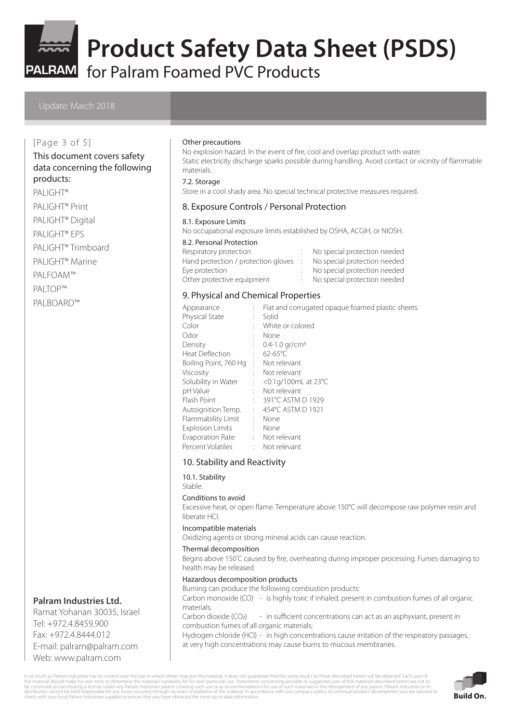

for Palram Foamed PVC Products

### [Page 3 of 5]

#### This document covers safety data concerning the following products:

PALIGHT<sup>®</sup> PALIGHT® Print PALIGHT® Digital PALIGHT® EPS PALIGHT® Trimboard

PALIGHT® Marine

PALFOAM™

PALTOP™

PALBOARD™

# **Palram Industries Ltd.**

Ramat Yohanan 30035, Israel Tel: +972.4.8459.900 Fax: +972.4.8444.012 E-mail: palram@palram.com Web: www.palram.com

#### Other precautions

No explosion hazard. In the event of fire, cool and overlap product with water. Static electricity discharge sparks possible during handling. Avoid contact or vicinity of flammable materials.

#### 7.2. Storage

Store in a cool shady area. No special technical protective measures required.

#### 8. Exposure Controls / Personal Protection

#### 8.1. Exposure Limits

No occupational exposure limits established by OSHA, ACGIH, or NIOSH.

#### 8.2. Personal Protection

| Respiratory protection                | No special protection needed |
|---------------------------------------|------------------------------|
| Hand protection / protection gloves : | No special protection needed |
| Eye protection                        | No special protection needed |
| Other protective equipment            | No special protection needed |

# 9. Physical and Chemical Properties

| Appearance              | t in | Flat and corrugated opaque foamed plastic sheets |
|-------------------------|------|--------------------------------------------------|
| <b>Physical State</b>   |      | Solid                                            |
| Color                   |      | White or colored                                 |
| Odor                    |      | None                                             |
| Density                 |      | $0.4 - 1.0$ gr/cm <sup>3</sup>                   |
| <b>Heat Deflection</b>  |      | $62 - 65^{\circ}$ C                              |
| Boiling Point, 760 Hg   | ÷    | Not relevant                                     |
| Viscosity               |      | : Not relevant                                   |
| Solubility in Water     | t in | <0.1g/100mL at 23°C                              |
| pH Value                | ÷.   | Not relevant                                     |
| Flash Point             |      | : 391℃ ASTM D 1929                               |
| Autoignition Temp.      |      | 454°C ASTM D 1921                                |
| Flammability Limit      | ÷.   | None                                             |
| <b>Explosion Limits</b> | t.   | None                                             |
| Evaporation Rate        |      | : Not relevant                                   |
| Percent Volatiles       |      | Not relevant                                     |

#### 10. Stability and Reactivity

10.1. Stability Stable.

#### Conditions to avoid

Excessive heat, or open flame. Temperature above 150°C will decompose raw polymer resin and liberate HCl.

#### Incompatible materials

Oxidizing agents or strong mineral acids can cause reaction.

#### Thermal decomposition

Begins above 150° C caused by fire, overheating during improper processing. Fumes damaging to health may be released.

#### Hazardous decomposition products

Burning can produce the following combustion products: Carbon monoxide (CO) - is highly toxic if inhaled, present in combustion fumes of all organic materials;

Carbon dioxide (CO<sub>2</sub>) - in sufficient concentrations can act as an asphyxiant, present in combustion fumes of all organic materials;

Hydrogen chloride (HCl) - in high concentrations cause irritation of the respiratory passages, at very high concentrations may cause burns to mucous membranes.

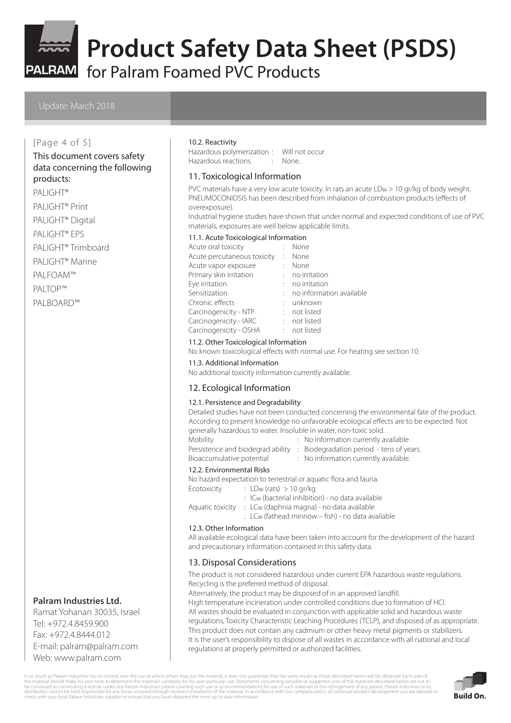

PALRAM for Palram Foamed PVC Products

#### [Page 4 of 5]

# This document covers safety data concerning the following

# products:

- PALIGHT<sup>®</sup>
- PALIGHT® Print
- PALIGHT® Digital
- PALIGHT® EPS
- PALIGHT® Trimboard
- PALIGHT® Marine
- PALFOAM™
- PALTOP™

PALBOARD™

### **Palram Industries Ltd.**

Ramat Yohanan 30035, Israel Tel: +972.4.8459.900 Fax: +972.4.8444.012 E-mail: palram@palram.com Web: www.palram.com

#### 10.2. Reactivity

Hazardous polymerization : Will not occur Hazardous reactions : None.

#### 11. Toxicological Information

PVC materials have a very low acute toxicity. In rats an acute LD<sub>50</sub> > 10 gr/kg of body weight. PNEUMOCONIOSIS has been described from inhalation of combustion products (effects of overexposure).

Industrial hygiene studies have shown that under normal and expected conditions of use of PVC materials, exposures are well below applicable limits.

#### 11.1. Acute Toxicological Information

| Acute oral toxicity         |         | None                       |
|-----------------------------|---------|----------------------------|
| Acute percutaneous toxicity | $\cdot$ | None                       |
| Acute vapor exposure        |         | None                       |
| Primary skin irritation     |         | $:$ no irritation          |
| Eye irritation              |         | no irritation              |
| Sensitization               |         | : no information available |
| Chronic effects             |         | : unknown                  |
| Carcinogenicity - NTP       |         | : not listed               |
| Carcinogenicity - IARC      |         | : not listed               |
| Carcinogenicity - OSHA      |         | : not listed               |
|                             |         |                            |

#### 11.2. Other Toxicological Information

No known toxicological effects with normal use. For heating see section 10.

11.3. Additional Information

No additional toxicity information currently available.

#### 12. Ecological Information

#### 12.1. Persistence and Degradability

Detailed studies have not been conducted concerning the environmental fate of the product. According to present knowledge no unfavorable ecological effects are to be expected. Not generally hazardous to water. Insoluble in water, non-toxic solid.

| <b>Mobility</b>              |
|------------------------------|
| Persistence and biodegrad ab |
| Bioaccumulative potential    |

- : No information currently available
	- $P$ ility : Biodegradation period tens of years.
- Bioaccumulative potential : No information currently available.

#### 12.2. Environmental Risks

- No hazard expectation to terrestrial or aquatic flora and fauna.
- Ecotoxicity : LD<sub>50</sub> (rats) > 10 gr/kg
	- : IC50 (bacterial inhibition) no data available
- Aquatic toxicity : LC<sub>50</sub> (daphnia magna) no data available
	- $\cdot$  LC<sub>50</sub> (fathead minnow fish) no data available

#### 12.3. Other Information

All available ecological data have been taken into account for the development of the hazard and precautionary information contained in this safety data.

## 13. Disposal Considerations

The product is not considered hazardous under current EPA hazardous waste regulations. Recycling is the preferred method of disposal.

Alternatively, the product may be disposed of in an approved landfill.

High temperature incineration under controlled conditions due to formation of HCl. All wastes should be evaluated in conjunction with applicable solid and hazardous waste regulations, Toxicity Characteristic Leaching Procedures (TCLP), and disposed of as appropriate. This product does not contain any cadmium or other heavy metal pigments or stabilizers. It is the user's responsibility to dispose of all wastes in accordance with all national and local regulations at properly permitted or authorized facilities.